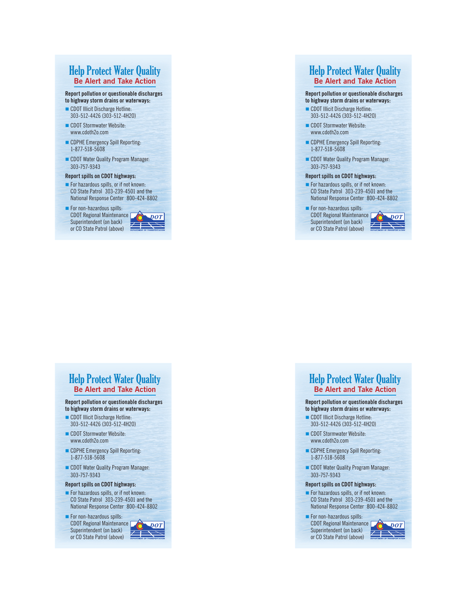# Help Protect Water Quality **Be Alert and Take Action**

#### **Report pollution or questionable discharges**

- **to highway storm drains or waterways:** CDOT Illicit Discharge Hotline:
- 303-512-4426 (303-512-4H2O)
- CDOT Stormwater Website: www.cdoth2o.com
- **n** CDPHE Emergency Spill Reporting: 1-877-518-5608
- CDOT Water Quality Program Manager: 303-757-9343

#### **Report spills on CDOT highways:**

- For hazardous spills, or if not known: CO State Patrol 303-239-4501 and the National Response Center 800-424-8802
- $\blacksquare$  For non-hazardous spills: CDOT Regional Maintenance Superintendent (on back) or CO State Patrol (above)



## Help Protect Water Quality **Be Alert and Take Action**

#### **Report pollution or questionable discharges**

- **to highway storm drains or waterways:**
- CDOT Illicit Discharge Hotline: 303-512-4426 (303-512-4H2O)
- CDOT Stormwater Website: www.cdoth2o.com
- **n** CDPHE Emergency Spill Reporting: 1-877-518-5608
- **n** CDOT Water Quality Program Manager: 303-757-9343

#### **Report spills on CDOT highways:**

- $\blacksquare$  For hazardous spills, or if not known: CO State Patrol 303-239-4501 and the National Response Center 800-424-8802
- $\blacksquare$  For non-hazardous spills: CDOT Regional Maintenance Superintendent (on back) or CO State Patrol (above)



## Help Protect Water Quality **Be Alert and Take Action**

#### **Report pollution or questionable discharges to highway storm drains or waterways:**

- CDOT Illicit Discharge Hotline: 303-512-4426 (303-512-4H2O)
- CDOT Stormwater Website: www.cdoth2o.com
- **n** CDPHE Emergency Spill Reporting: 1-877-518-5608
- **n** CDOT Water Quality Program Manager: 303-757-9343

#### **Report spills on CDOT highways:**

- $\blacksquare$  For hazardous spills, or if not known: CO State Patrol 303-239-4501 and the National Response Center 800-424-8802
- $\blacksquare$  For non-hazardous spills: CDOT Regional Maintenance Superintendent (on back) or CO State Patrol (above)



## Help Protect Water Quality **Be Alert and Take Action**

#### **Report pollution or questionable discharges to highway storm drains or waterways:**

- CDOT Illicit Discharge Hotline: 303-512-4426 (303-512-4H2O)
- CDOT Stormwater Website: www.cdoth2o.com
- **n** CDPHE Emergency Spill Reporting: 1-877-518-5608
- **n** CDOT Water Quality Program Manager: 303-757-9343

#### **Report spills on CDOT highways:**

- $\blacksquare$  For hazardous spills, or if not known: CO State Patrol 303-239-4501 and the National Response Center 800-424-8802
- $\blacksquare$  For non-hazardous spills:

CDOT Regional Maintenance Superintendent (on back) or CO State Patrol (above)